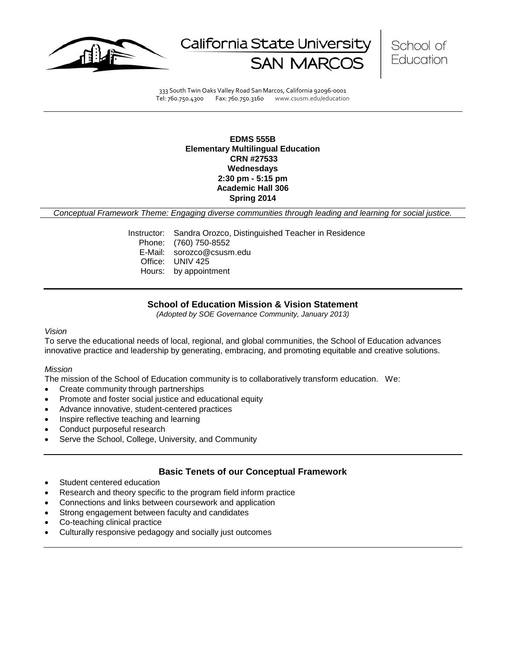

California State Universit



333 South Twin Oaks Valley Road San Marcos, California 92096-0001 Tel: 760.750.4300 Fax: 760.750.3160 www.csusm.edu/education

#### **EDMS 555B Elementary Multilingual Education CRN #27533 Wednesdays 2:30 pm - 5:15 pm Academic Hall 306 Spring 2014**

*Conceptual Framework Theme: Engaging diverse communities through leading and learning for social justice.*

Instructor: Sandra Orozco, Distinguished Teacher in Residence Phone: (760) 750-8552 E-Mail: sorozco@csusm.edu Office: UNIV 425 Hours: by appointment

### **School of Education Mission & Vision Statement**

*(Adopted by SOE Governance Community, January 2013)*

#### *Vision*

To serve the educational needs of local, regional, and global communities, the School of Education advances innovative practice and leadership by generating, embracing, and promoting equitable and creative solutions.

#### *Mission*

The mission of the School of Education community is to collaboratively transform education. We:

- Create community through partnerships
- Promote and foster social justice and educational equity
- Advance innovative, student-centered practices
- Inspire reflective teaching and learning
- Conduct purposeful research
- Serve the School, College, University, and Community

#### **Basic Tenets of our Conceptual Framework**

- Student centered education
- Research and theory specific to the program field inform practice
- Connections and links between coursework and application
- Strong engagement between faculty and candidates
- Co-teaching clinical practice
- Culturally responsive pedagogy and socially just outcomes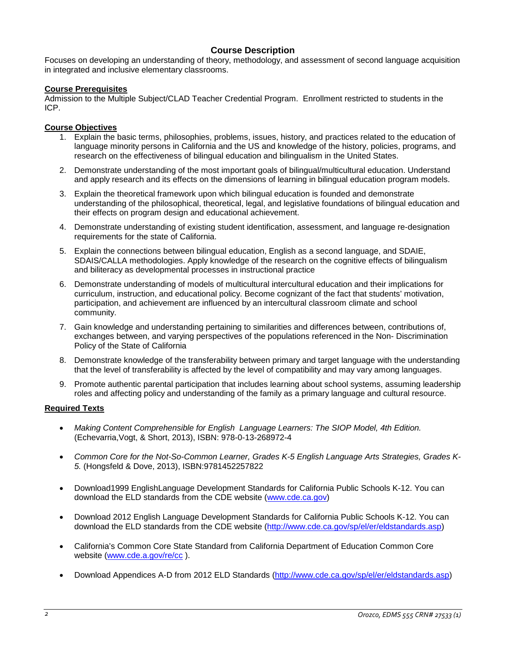## **Course Description**

Focuses on developing an understanding of theory, methodology, and assessment of second language acquisition in integrated and inclusive elementary classrooms.

#### **Course Prerequisites**

Admission to the Multiple Subject/CLAD Teacher Credential Program. Enrollment restricted to students in the ICP.

### **Course Objectives**

- 1. Explain the basic terms, philosophies, problems, issues, history, and practices related to the education of language minority persons in California and the US and knowledge of the history, policies, programs, and research on the effectiveness of bilingual education and bilingualism in the United States.
- 2. Demonstrate understanding of the most important goals of bilingual/multicultural education. Understand and apply research and its effects on the dimensions of learning in bilingual education program models.
- 3. Explain the theoretical framework upon which bilingual education is founded and demonstrate understanding of the philosophical, theoretical, legal, and legislative foundations of bilingual education and their effects on program design and educational achievement.
- 4. Demonstrate understanding of existing student identification, assessment, and language re-designation requirements for the state of California.
- 5. Explain the connections between bilingual education, English as a second language, and SDAIE, SDAIS/CALLA methodologies. Apply knowledge of the research on the cognitive effects of bilingualism and biliteracy as developmental processes in instructional practice
- 6. Demonstrate understanding of models of multicultural intercultural education and their implications for curriculum, instruction, and educational policy. Become cognizant of the fact that students' motivation, participation, and achievement are influenced by an intercultural classroom climate and school community.
- 7. Gain knowledge and understanding pertaining to similarities and differences between, contributions of, exchanges between, and varying perspectives of the populations referenced in the Non- Discrimination Policy of the State of California
- 8. Demonstrate knowledge of the transferability between primary and target language with the understanding that the level of transferability is affected by the level of compatibility and may vary among languages.
- 9. Promote authentic parental participation that includes learning about school systems, assuming leadership roles and affecting policy and understanding of the family as a primary language and cultural resource.

#### **Required Texts**

- *Making Content Comprehensible for English Language Learners: The SIOP Model, 4th Edition.* (Echevarria,Vogt, & Short, 2013), ISBN: 978-0-13-268972-4
- *Common Core for the Not-So-Common Learner, Grades K-5 English Language Arts Strategies, Grades K-5.* (Hongsfeld & Dove, 2013), ISBN:9781452257822
- Download1999 EnglishLanguage Development Standards for California Public Schools K-12. You can download the ELD standards from the CDE website [\(www.cde.ca.gov\)](http://www.cde.ca.gov/)
- Download 2012 English Language Development Standards for California Public Schools K-12. You can download the ELD standards from the CDE website [\(http://www.cde.ca.gov/sp/el/er/eldstandards.asp\)](http://www.cde.ca.gov/sp/el/er/eldstandards.asp)
- California's Common Core State Standard from California Department of Education Common Core website [\(www.cde.a.gov/re/cc](http://www.cde.a.gov/re/cc)).
- Download Appendices A-D from 2012 ELD Standards [\(http://www.cde.ca.gov/sp/el/er/eldstandards.asp\)](http://www.cde.ca.gov/sp/el/er/eldstandards.asp)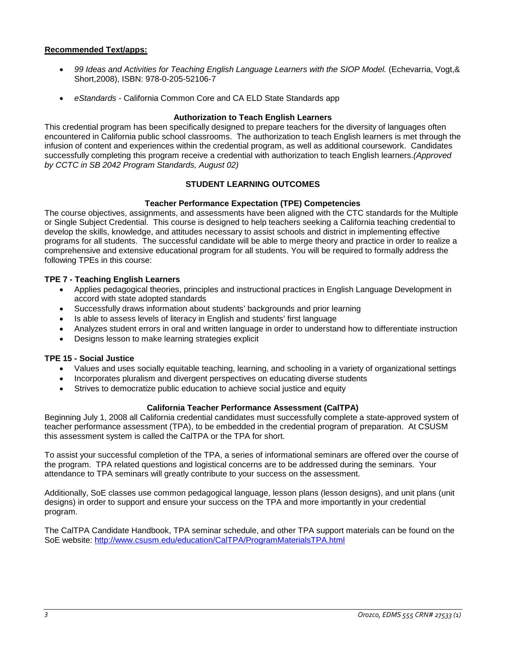## **Recommended Text/apps:**

- *99 Ideas and Activities for Teaching English Language Learners with the SIOP Model.* (Echevarria, Vogt,& Short,2008), ISBN: 978-0-205-52106-7
- *eStandards* California Common Core and CA ELD State Standards app

#### **Authorization to Teach English Learners**

This credential program has been specifically designed to prepare teachers for the diversity of languages often encountered in California public school classrooms. The authorization to teach English learners is met through the infusion of content and experiences within the credential program, as well as additional coursework. Candidates successfully completing this program receive a credential with authorization to teach English learners.*(Approved by CCTC in SB 2042 Program Standards, August 02)*

## **STUDENT LEARNING OUTCOMES**

### **Teacher Performance Expectation (TPE) Competencies**

The course objectives, assignments, and assessments have been aligned with the CTC standards for the Multiple or Single Subject Credential. This course is designed to help teachers seeking a California teaching credential to develop the skills, knowledge, and attitudes necessary to assist schools and district in implementing effective programs for all students. The successful candidate will be able to merge theory and practice in order to realize a comprehensive and extensive educational program for all students. You will be required to formally address the following TPEs in this course:

### **TPE 7 - Teaching English Learners**

- Applies pedagogical theories, principles and instructional practices in English Language Development in accord with state adopted standards
- Successfully draws information about students' backgrounds and prior learning
- Is able to assess levels of literacy in English and students' first language
- Analyzes student errors in oral and written language in order to understand how to differentiate instruction
- Designs lesson to make learning strategies explicit

### **TPE 15 - Social Justice**

- Values and uses socially equitable teaching, learning, and schooling in a variety of organizational settings
- Incorporates pluralism and divergent perspectives on educating diverse students
- Strives to democratize public education to achieve social justice and equity

#### **California Teacher Performance Assessment (CalTPA)**

Beginning July 1, 2008 all California credential candidates must successfully complete a state-approved system of teacher performance assessment (TPA), to be embedded in the credential program of preparation. At CSUSM this assessment system is called the CalTPA or the TPA for short.

To assist your successful completion of the TPA, a series of informational seminars are offered over the course of the program. TPA related questions and logistical concerns are to be addressed during the seminars. Your attendance to TPA seminars will greatly contribute to your success on the assessment.

Additionally, SoE classes use common pedagogical language, lesson plans (lesson designs), and unit plans (unit designs) in order to support and ensure your success on the TPA and more importantly in your credential program.

The CalTPA Candidate Handbook, TPA seminar schedule, and other TPA support materials can be found on the SoE website: <http://www.csusm.edu/education/CalTPA/ProgramMaterialsTPA.html>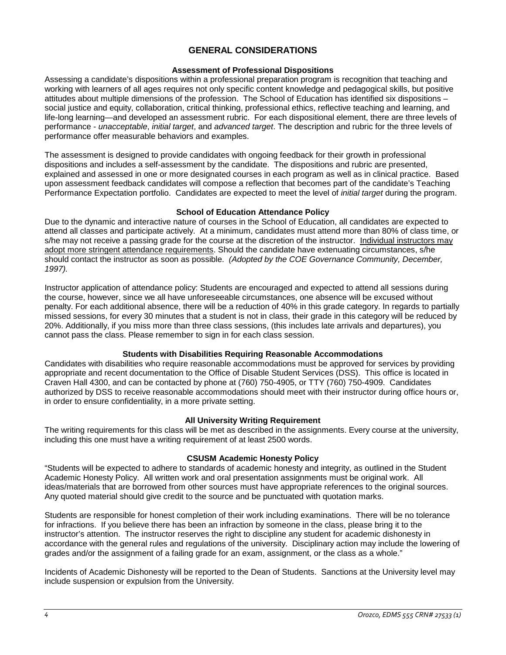## **GENERAL CONSIDERATIONS**

## **Assessment of Professional Dispositions**

Assessing a candidate's dispositions within a professional preparation program is recognition that teaching and working with learners of all ages requires not only specific content knowledge and pedagogical skills, but positive attitudes about multiple dimensions of the profession. The School of Education has identified six dispositions – social justice and equity, collaboration, critical thinking, professional ethics, reflective teaching and learning, and life-long learning—and developed an assessment rubric. For each dispositional element, there are three levels of performance - *unacceptable*, *initial target*, and *advanced target*. The description and rubric for the three levels of performance offer measurable behaviors and examples.

The assessment is designed to provide candidates with ongoing feedback for their growth in professional dispositions and includes a self-assessment by the candidate. The dispositions and rubric are presented, explained and assessed in one or more designated courses in each program as well as in clinical practice. Based upon assessment feedback candidates will compose a reflection that becomes part of the candidate's Teaching Performance Expectation portfolio. Candidates are expected to meet the level of *initial target* during the program.

### **School of Education Attendance Policy**

Due to the dynamic and interactive nature of courses in the School of Education, all candidates are expected to attend all classes and participate actively. At a minimum, candidates must attend more than 80% of class time, or s/he may not receive a passing grade for the course at the discretion of the instructor. Individual instructors may adopt more stringent attendance requirements. Should the candidate have extenuating circumstances, s/he should contact the instructor as soon as possible. *(Adopted by the COE Governance Community, December, 1997).*

Instructor application of attendance policy: Students are encouraged and expected to attend all sessions during the course, however, since we all have unforeseeable circumstances, one absence will be excused without penalty. For each additional absence, there will be a reduction of 40% in this grade category. In regards to partially missed sessions, for every 30 minutes that a student is not in class, their grade in this category will be reduced by 20%. Additionally, if you miss more than three class sessions, (this includes late arrivals and departures), you cannot pass the class. Please remember to sign in for each class session.

## **Students with Disabilities Requiring Reasonable Accommodations**

Candidates with disabilities who require reasonable accommodations must be approved for services by providing appropriate and recent documentation to the Office of Disable Student Services (DSS). This office is located in Craven Hall 4300, and can be contacted by phone at (760) 750-4905, or TTY (760) 750-4909. Candidates authorized by DSS to receive reasonable accommodations should meet with their instructor during office hours or, in order to ensure confidentiality, in a more private setting.

## **All University Writing Requirement**

The writing requirements for this class will be met as described in the assignments. Every course at the university, including this one must have a writing requirement of at least 2500 words.

#### **CSUSM Academic Honesty Policy**

"Students will be expected to adhere to standards of academic honesty and integrity, as outlined in the Student Academic Honesty Policy. All written work and oral presentation assignments must be original work. All ideas/materials that are borrowed from other sources must have appropriate references to the original sources. Any quoted material should give credit to the source and be punctuated with quotation marks.

Students are responsible for honest completion of their work including examinations. There will be no tolerance for infractions. If you believe there has been an infraction by someone in the class, please bring it to the instructor's attention. The instructor reserves the right to discipline any student for academic dishonesty in accordance with the general rules and regulations of the university. Disciplinary action may include the lowering of grades and/or the assignment of a failing grade for an exam, assignment, or the class as a whole."

Incidents of Academic Dishonesty will be reported to the Dean of Students. Sanctions at the University level may include suspension or expulsion from the University.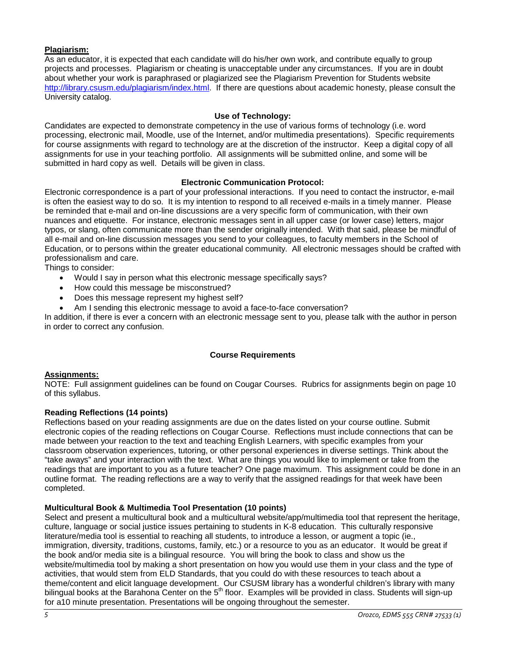## **Plagiarism:**

As an educator, it is expected that each candidate will do his/her own work, and contribute equally to group projects and processes. Plagiarism or cheating is unacceptable under any circumstances. If you are in doubt about whether your work is paraphrased or plagiarized see the Plagiarism Prevention for Students website [http://library.csusm.edu/plagiarism/index.html.](http://library.csusm.edu/plagiarism/index.html) If there are questions about academic honesty, please consult the University catalog.

## **Use of Technology:**

Candidates are expected to demonstrate competency in the use of various forms of technology (i.e. word processing, electronic mail, Moodle, use of the Internet, and/or multimedia presentations). Specific requirements for course assignments with regard to technology are at the discretion of the instructor. Keep a digital copy of all assignments for use in your teaching portfolio. All assignments will be submitted online, and some will be submitted in hard copy as well. Details will be given in class.

### **Electronic Communication Protocol:**

Electronic correspondence is a part of your professional interactions. If you need to contact the instructor, e-mail is often the easiest way to do so. It is my intention to respond to all received e-mails in a timely manner. Please be reminded that e-mail and on-line discussions are a very specific form of communication, with their own nuances and etiquette. For instance, electronic messages sent in all upper case (or lower case) letters, major typos, or slang, often communicate more than the sender originally intended. With that said, please be mindful of all e-mail and on-line discussion messages you send to your colleagues, to faculty members in the School of Education, or to persons within the greater educational community. All electronic messages should be crafted with professionalism and care.

Things to consider:

- Would I say in person what this electronic message specifically says?
- How could this message be misconstrued?
- Does this message represent my highest self?
- Am I sending this electronic message to avoid a face-to-face conversation?

In addition, if there is ever a concern with an electronic message sent to you, please talk with the author in person in order to correct any confusion.

#### **Course Requirements**

#### **Assignments:**

NOTE: Full assignment guidelines can be found on Cougar Courses. Rubrics for assignments begin on page 10 of this syllabus.

#### **Reading Reflections (14 points)**

Reflections based on your reading assignments are due on the dates listed on your course outline. Submit electronic copies of the reading reflections on Cougar Course. Reflections must include connections that can be made between your reaction to the text and teaching English Learners, with specific examples from your classroom observation experiences, tutoring, or other personal experiences in diverse settings. Think about the "take aways" and your interaction with the text. What are things you would like to implement or take from the readings that are important to you as a future teacher? One page maximum. This assignment could be done in an outline format. The reading reflections are a way to verify that the assigned readings for that week have been completed.

#### **Multicultural Book & Multimedia Tool Presentation (10 points)**

Select and present a multicultural book and a multicultural website/app/multimedia tool that represent the heritage, culture, language or social justice issues pertaining to students in K-8 education. This culturally responsive literature/media tool is essential to reaching all students, to introduce a lesson, or augment a topic (ie., immigration, diversity, traditions, customs, family, etc.) or a resource to you as an educator. It would be great if the book and/or media site is a bilingual resource. You will bring the book to class and show us the website/multimedia tool by making a short presentation on how you would use them in your class and the type of activities, that would stem from ELD Standards, that you could do with these resources to teach about a theme/content and elicit language development. Our CSUSM library has a wonderful children's library with many bilingual books at the Barahona Center on the 5<sup>th</sup> floor. Examples will be provided in class. Students will sign-up for a10 minute presentation. Presentations will be ongoing throughout the semester.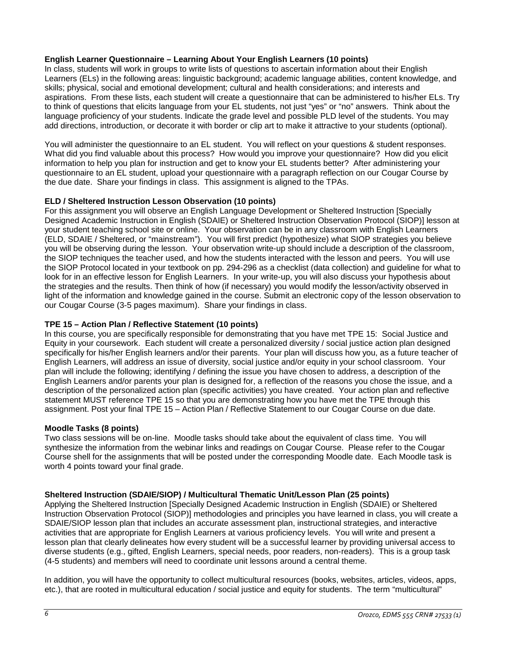## **English Learner Questionnaire – Learning About Your English Learners (10 points)**

In class, students will work in groups to write lists of questions to ascertain information about their English Learners (ELs) in the following areas: linguistic background; academic language abilities, content knowledge, and skills; physical, social and emotional development; cultural and health considerations; and interests and aspirations. From these lists, each student will create a questionnaire that can be administered to his/her ELs. Try to think of questions that elicits language from your EL students, not just "yes" or "no" answers. Think about the language proficiency of your students. Indicate the grade level and possible PLD level of the students. You may add directions, introduction, or decorate it with border or clip art to make it attractive to your students (optional).

You will administer the questionnaire to an EL student. You will reflect on your questions & student responses. What did you find valuable about this process? How would you improve your questionnaire? How did you elicit information to help you plan for instruction and get to know your EL students better? After administering your questionnaire to an EL student, upload your questionnaire with a paragraph reflection on our Cougar Course by the due date. Share your findings in class. This assignment is aligned to the TPAs.

## **ELD / Sheltered Instruction Lesson Observation (10 points)**

For this assignment you will observe an English Language Development or Sheltered Instruction [Specially Designed Academic Instruction in English (SDAIE) or Sheltered Instruction Observation Protocol (SIOP)] lesson at your student teaching school site or online. Your observation can be in any classroom with English Learners (ELD, SDAIE / Sheltered, or "mainstream"). You will first predict (hypothesize) what SIOP strategies you believe you will be observing during the lesson. Your observation write-up should include a description of the classroom, the SIOP techniques the teacher used, and how the students interacted with the lesson and peers. You will use the SIOP Protocol located in your textbook on pp. 294-296 as a checklist (data collection) and guideline for what to look for in an effective lesson for English Learners. In your write-up, you will also discuss your hypothesis about the strategies and the results. Then think of how (if necessary) you would modify the lesson/activity observed in light of the information and knowledge gained in the course. Submit an electronic copy of the lesson observation to our Cougar Course (3-5 pages maximum). Share your findings in class.

## **TPE 15 – Action Plan / Reflective Statement (10 points)**

In this course, you are specifically responsible for demonstrating that you have met TPE 15: Social Justice and Equity in your coursework. Each student will create a personalized diversity / social justice action plan designed specifically for his/her English learners and/or their parents. Your plan will discuss how you, as a future teacher of English Learners, will address an issue of diversity, social justice and/or equity in your school classroom. Your plan will include the following; identifying / defining the issue you have chosen to address, a description of the English Learners and/or parents your plan is designed for, a reflection of the reasons you chose the issue, and a description of the personalized action plan (specific activities) you have created. Your action plan and reflective statement MUST reference TPE 15 so that you are demonstrating how you have met the TPE through this assignment. Post your final TPE 15 – Action Plan / Reflective Statement to our Cougar Course on due date.

## **Moodle Tasks (8 points)**

Two class sessions will be on-line. Moodle tasks should take about the equivalent of class time. You will synthesize the information from the webinar links and readings on Cougar Course. Please refer to the Cougar Course shell for the assignments that will be posted under the corresponding Moodle date. Each Moodle task is worth 4 points toward your final grade.

## **Sheltered Instruction (SDAIE/SIOP) / Multicultural Thematic Unit/Lesson Plan (25 points)**

Applying the Sheltered Instruction [Specially Designed Academic Instruction in English (SDAIE) or Sheltered Instruction Observation Protocol (SIOP)] methodologies and principles you have learned in class, you will create a SDAIE/SIOP lesson plan that includes an accurate assessment plan, instructional strategies, and interactive activities that are appropriate for English Learners at various proficiency levels. You will write and present a lesson plan that clearly delineates how every student will be a successful learner by providing universal access to diverse students (e.g., gifted, English Learners, special needs, poor readers, non-readers). This is a group task (4-5 students) and members will need to coordinate unit lessons around a central theme.

In addition, you will have the opportunity to collect multicultural resources (books, websites, articles, videos, apps, etc.), that are rooted in multicultural education / social justice and equity for students. The term "multicultural"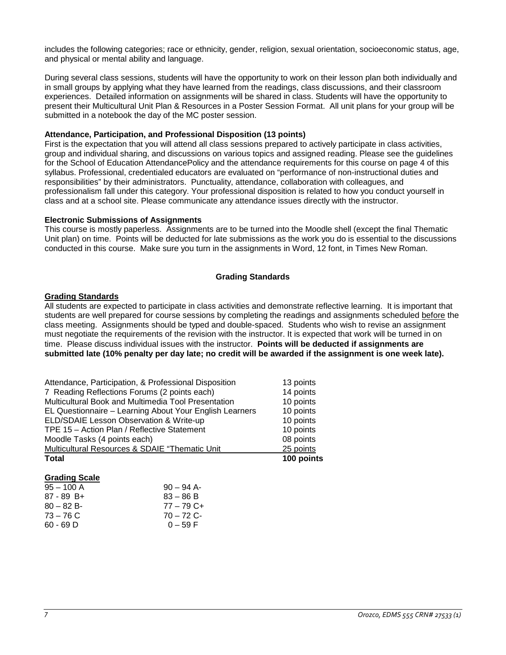includes the following categories; race or ethnicity, gender, religion, sexual orientation, socioeconomic status, age, and physical or mental ability and language.

During several class sessions, students will have the opportunity to work on their lesson plan both individually and in small groups by applying what they have learned from the readings, class discussions, and their classroom experiences. Detailed information on assignments will be shared in class. Students will have the opportunity to present their Multicultural Unit Plan & Resources in a Poster Session Format. All unit plans for your group will be submitted in a notebook the day of the MC poster session.

#### **Attendance, Participation, and Professional Disposition (13 points)**

First is the expectation that you will attend all class sessions prepared to actively participate in class activities, group and individual sharing, and discussions on various topics and assigned reading. Please see the guidelines for the School of Education AttendancePolicy and the attendance requirements for this course on page 4 of this syllabus. Professional, credentialed educators are evaluated on "performance of non-instructional duties and responsibilities" by their administrators. Punctuality, attendance, collaboration with colleagues, and professionalism fall under this category. Your professional disposition is related to how you conduct yourself in class and at a school site. Please communicate any attendance issues directly with the instructor.

#### **Electronic Submissions of Assignments**

This course is mostly paperless. Assignments are to be turned into the Moodle shell (except the final Thematic Unit plan) on time. Points will be deducted for late submissions as the work you do is essential to the discussions conducted in this course. Make sure you turn in the assignments in Word, 12 font, in Times New Roman.

#### **Grading Standards**

#### **Grading Standards**

All students are expected to participate in class activities and demonstrate reflective learning. It is important that students are well prepared for course sessions by completing the readings and assignments scheduled before the class meeting. Assignments should be typed and double-spaced. Students who wish to revise an assignment must negotiate the requirements of the revision with the instructor. It is expected that work will be turned in on time. Please discuss individual issues with the instructor. **Points will be deducted if assignments are submitted late (10% penalty per day late; no credit will be awarded if the assignment is one week late).**

| Attendance, Participation, & Professional Disposition   | 13 points  |
|---------------------------------------------------------|------------|
| 7 Reading Reflections Forums (2 points each)            | 14 points  |
| Multicultural Book and Multimedia Tool Presentation     | 10 points  |
| EL Questionnaire - Learning About Your English Learners | 10 points  |
| ELD/SDAIE Lesson Observation & Write-up                 | 10 points  |
| TPE 15 - Action Plan / Reflective Statement             | 10 points  |
| Moodle Tasks (4 points each)                            | 08 points  |
| Multicultural Resources & SDAIE "Thematic Unit          | 25 points  |
| <b>Total</b>                                            | 100 points |

#### **Grading Scale**

| $90 - 94$ A- |
|--------------|
| $83 - 86 B$  |
| $77 - 79$ C+ |
| $70 - 72$ C- |
| $0 - 59 F$   |
|              |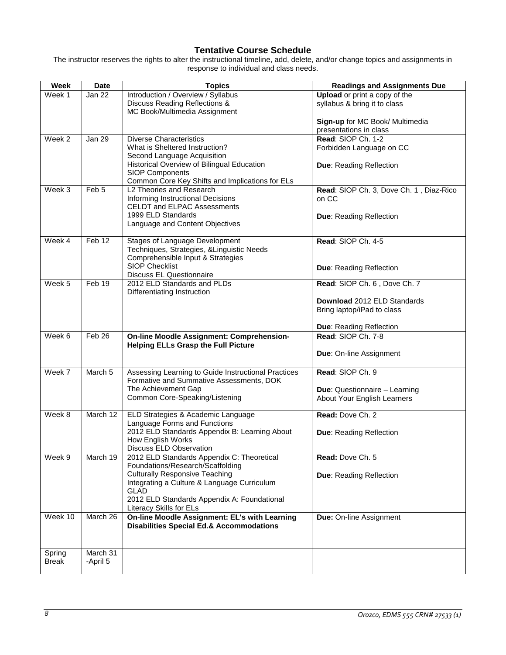# **Tentative Course Schedule**

The instructor reserves the rights to alter the instructional timeline, add, delete, and/or change topics and assignments in response to individual and class needs.

| Week         | Date             | <b>Topics</b>                                                                                                                                                                 | <b>Readings and Assignments Due</b>                                         |
|--------------|------------------|-------------------------------------------------------------------------------------------------------------------------------------------------------------------------------|-----------------------------------------------------------------------------|
| Week 1       | Jan 22           | Introduction / Overview / Syllabus<br>Discuss Reading Reflections &<br>MC Book/Multimedia Assignment                                                                          | <b>Upload</b> or print a copy of the<br>syllabus & bring it to class        |
|              |                  |                                                                                                                                                                               | Sign-up for MC Book/ Multimedia<br>presentations in class                   |
| Week 2       | Jan 29           | <b>Diverse Characteristics</b><br>What is Sheltered Instruction?<br>Second Language Acquisition<br>Historical Overview of Bilingual Education                                 | Read: SIOP Ch. 1-2<br>Forbidden Language on CC<br>Due: Reading Reflection   |
|              |                  | <b>SIOP Components</b><br>Common Core Key Shifts and Implications for ELs                                                                                                     |                                                                             |
| Week 3       | Feb <sub>5</sub> | L2 Theories and Research<br>Informing Instructional Decisions<br><b>CELDT and ELPAC Assessments</b><br>1999 ELD Standards<br>Language and Content Objectives                  | Read: SIOP Ch. 3, Dove Ch. 1, Diaz-Rico<br>on CC<br>Due: Reading Reflection |
|              |                  |                                                                                                                                                                               |                                                                             |
| Week 4       | Feb 12           | <b>Stages of Language Development</b><br>Techniques, Strategies, &Linguistic Needs<br>Comprehensible Input & Strategies                                                       | Read: SIOP Ch. 4-5                                                          |
|              |                  | <b>SIOP Checklist</b><br><b>Discuss EL Questionnaire</b>                                                                                                                      | Due: Reading Reflection                                                     |
| Week 5       | Feb 19           | 2012 ELD Standards and PLDs<br>Differentiating Instruction                                                                                                                    | Read: SIOP Ch. 6, Dove Ch. 7                                                |
|              |                  |                                                                                                                                                                               | Download 2012 ELD Standards<br>Bring laptop/iPad to class                   |
|              |                  |                                                                                                                                                                               | Due: Reading Reflection                                                     |
| Week 6       | Feb 26           | <b>On-line Moodle Assignment: Comprehension-</b><br><b>Helping ELLs Grasp the Full Picture</b>                                                                                | Read: SIOP Ch. 7-8<br>Due: On-line Assignment                               |
| Week 7       | March 5          | Assessing Learning to Guide Instructional Practices<br>Formative and Summative Assessments, DOK                                                                               | Read: SIOP Ch. 9                                                            |
|              |                  | The Achievement Gap<br>Common Core-Speaking/Listening                                                                                                                         | Due: Questionnaire - Learning<br>About Your English Learners                |
| Week 8       | March 12         | ELD Strategies & Academic Language                                                                                                                                            | Read: Dove Ch. 2                                                            |
|              |                  | Language Forms and Functions<br>2012 ELD Standards Appendix B: Learning About<br>How English Works<br>Discuss ELD Observation                                                 | Due: Reading Reflection                                                     |
| Week 9       | March 19         | 2012 ELD Standards Appendix C: Theoretical<br>Foundations/Research/Scaffolding                                                                                                | Read: Dove Ch. 5                                                            |
|              |                  | <b>Culturally Responsive Teaching</b><br>Integrating a Culture & Language Curriculum<br><b>GLAD</b><br>2012 ELD Standards Appendix A: Foundational<br>Literacy Skills for ELs | Due: Reading Reflection                                                     |
| Week 10      | March 26         | On-line Moodle Assignment: EL's with Learning<br><b>Disabilities Special Ed.&amp; Accommodations</b>                                                                          | Due: On-line Assignment                                                     |
| Spring       | March 31         |                                                                                                                                                                               |                                                                             |
| <b>Break</b> | -April 5         |                                                                                                                                                                               |                                                                             |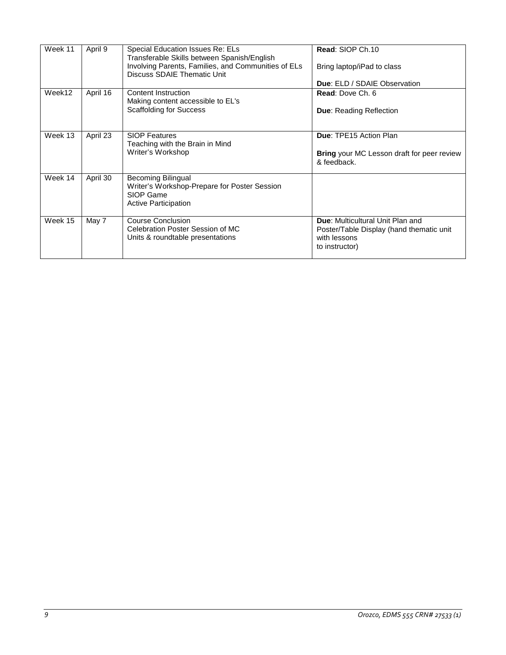| Week 11                     | April 9<br>Special Education Issues Re: ELs<br>Transferable Skills between Spanish/English |                                                                                    | Read: SIOP Ch.10                                                 |
|-----------------------------|--------------------------------------------------------------------------------------------|------------------------------------------------------------------------------------|------------------------------------------------------------------|
|                             |                                                                                            | Involving Parents, Families, and Communities of ELs<br>Discuss SDAIE Thematic Unit | Bring laptop/iPad to class                                       |
|                             |                                                                                            |                                                                                    | <b>Due: ELD / SDAIE Observation</b>                              |
| Week12                      | April 16                                                                                   | Content Instruction                                                                | <b>Read: Dove Ch. 6</b>                                          |
|                             |                                                                                            | Making content accessible to EL's                                                  |                                                                  |
|                             |                                                                                            | <b>Scaffolding for Success</b>                                                     | <b>Due: Reading Reflection</b>                                   |
|                             |                                                                                            |                                                                                    |                                                                  |
| Week 13                     | April 23                                                                                   | <b>SIOP Features</b>                                                               | Due: TPE15 Action Plan                                           |
|                             |                                                                                            | Teaching with the Brain in Mind                                                    |                                                                  |
|                             |                                                                                            | Writer's Workshop                                                                  | <b>Bring</b> your MC Lesson draft for peer review<br>& feedback. |
| Week 14                     | April 30                                                                                   | <b>Becoming Bilingual</b>                                                          |                                                                  |
|                             |                                                                                            | Writer's Workshop-Prepare for Poster Session                                       |                                                                  |
|                             |                                                                                            | SIOP Game                                                                          |                                                                  |
| <b>Active Participation</b> |                                                                                            |                                                                                    |                                                                  |
| Week 15                     | May 7                                                                                      | Course Conclusion                                                                  | Due: Multicultural Unit Plan and                                 |
|                             |                                                                                            | Celebration Poster Session of MC                                                   | Poster/Table Display (hand thematic unit                         |
|                             |                                                                                            | Units & roundtable presentations                                                   | with lessons                                                     |
|                             |                                                                                            |                                                                                    | to instructor)                                                   |
|                             |                                                                                            |                                                                                    |                                                                  |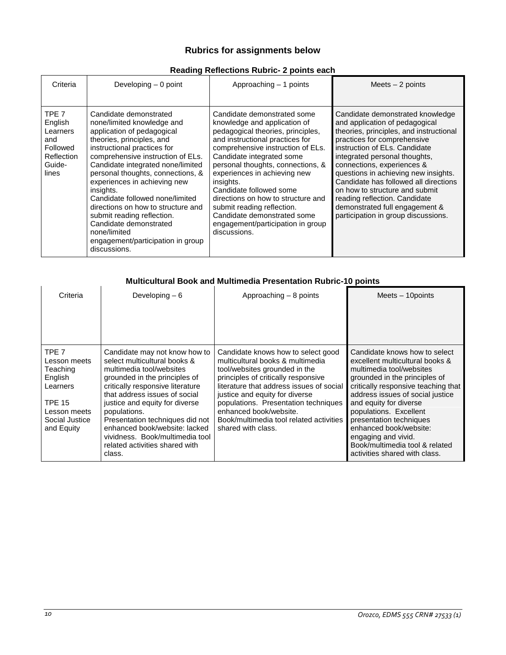# **Rubrics for assignments below**

# **Reading Reflections Rubric- 2 points each**

| Criteria                                                                                | Developing $-0$ point                                                                                                                                                                                                                                                                                                                                                                                                                                                                                            | Approaching – 1 points                                                                                                                                                                                                                                                                                                                                                                                                                                                     | Meets $-2$ points                                                                                                                                                                                                                                                                                                                                                                                                                                                         |
|-----------------------------------------------------------------------------------------|------------------------------------------------------------------------------------------------------------------------------------------------------------------------------------------------------------------------------------------------------------------------------------------------------------------------------------------------------------------------------------------------------------------------------------------------------------------------------------------------------------------|----------------------------------------------------------------------------------------------------------------------------------------------------------------------------------------------------------------------------------------------------------------------------------------------------------------------------------------------------------------------------------------------------------------------------------------------------------------------------|---------------------------------------------------------------------------------------------------------------------------------------------------------------------------------------------------------------------------------------------------------------------------------------------------------------------------------------------------------------------------------------------------------------------------------------------------------------------------|
| TPE 7<br>English<br>Learners<br>and<br>Followed<br><b>Reflection</b><br>Guide-<br>lines | Candidate demonstrated<br>none/limited knowledge and<br>application of pedagogical<br>theories, principles, and<br>instructional practices for<br>comprehensive instruction of ELs.<br>Candidate integrated none/limited<br>personal thoughts, connections, &<br>experiences in achieving new<br>insights.<br>Candidate followed none/limited<br>directions on how to structure and<br>submit reading reflection.<br>Candidate demonstrated<br>none/limited<br>engagement/participation in group<br>discussions. | Candidate demonstrated some<br>knowledge and application of<br>pedagogical theories, principles,<br>and instructional practices for<br>comprehensive instruction of ELs.<br>Candidate integrated some<br>personal thoughts, connections, &<br>experiences in achieving new<br>insights.<br>Candidate followed some<br>directions on how to structure and<br>submit reading reflection.<br>Candidate demonstrated some<br>engagement/participation in group<br>discussions. | Candidate demonstrated knowledge<br>and application of pedagogical<br>theories, principles, and instructional<br>practices for comprehensive<br>instruction of ELs. Candidate<br>integrated personal thoughts,<br>connections, experiences &<br>questions in achieving new insights.<br>Candidate has followed all directions<br>on how to structure and submit<br>reading reflection. Candidate<br>demonstrated full engagement &<br>participation in group discussions. |

# **Multicultural Book and Multimedia Presentation Rubric-10 points**

| Criteria                                                                                                                             | Developing $-6$                                                                                                                                                                                                                                                                                                                                                                                      | Approaching $-8$ points                                                                                                                                                                                                                                                                                                                                         | Meets $-$ 10 points                                                                                                                                                                                                                                                                                                                                                                                         |
|--------------------------------------------------------------------------------------------------------------------------------------|------------------------------------------------------------------------------------------------------------------------------------------------------------------------------------------------------------------------------------------------------------------------------------------------------------------------------------------------------------------------------------------------------|-----------------------------------------------------------------------------------------------------------------------------------------------------------------------------------------------------------------------------------------------------------------------------------------------------------------------------------------------------------------|-------------------------------------------------------------------------------------------------------------------------------------------------------------------------------------------------------------------------------------------------------------------------------------------------------------------------------------------------------------------------------------------------------------|
|                                                                                                                                      |                                                                                                                                                                                                                                                                                                                                                                                                      |                                                                                                                                                                                                                                                                                                                                                                 |                                                                                                                                                                                                                                                                                                                                                                                                             |
| TPF <sub>7</sub><br>Lesson meets<br>Teaching<br>English<br>Learners<br><b>TPE 15</b><br>Lesson meets<br>Social Justice<br>and Equity | Candidate may not know how to<br>select multicultural books &<br>multimedia tool/websites<br>grounded in the principles of<br>critically responsive literature<br>that address issues of social<br>justice and equity for diverse<br>populations.<br>Presentation techniques did not<br>enhanced book/website: lacked<br>vividness. Book/multimedia tool<br>related activities shared with<br>class. | Candidate knows how to select good<br>multicultural books & multimedia<br>tool/websites grounded in the<br>principles of critically responsive<br>literature that address issues of social<br>justice and equity for diverse<br>populations. Presentation techniques<br>enhanced book/website.<br>Book/multimedia tool related activities<br>shared with class. | Candidate knows how to select<br>excellent multicultural books &<br>multimedia tool/websites<br>grounded in the principles of<br>critically responsive teaching that<br>address issues of social justice<br>and equity for diverse<br>populations. Excellent<br>presentation techniques<br>enhanced book/website:<br>engaging and vivid.<br>Book/multimedia tool & related<br>activities shared with class. |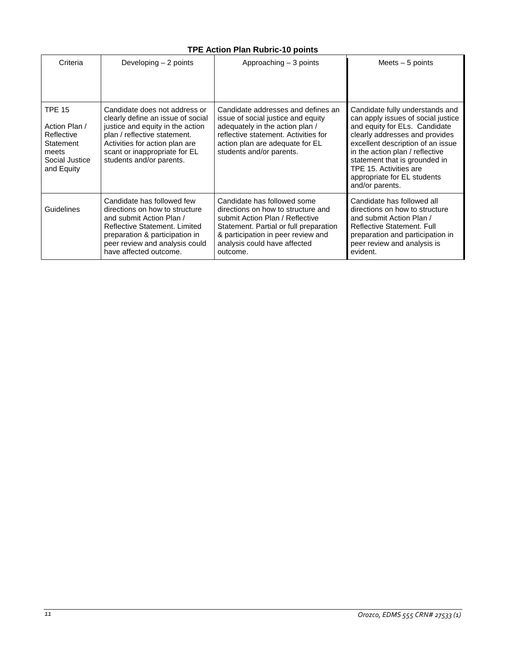# **TPE Action Plan Rubric-10 points**

| Criteria                                                                                           | Developing $-2$ points                                                                                                                                                                                                                | Approaching $-3$ points                                                                                                                                                                                                          | Meets $-5$ points                                                                                                                                                                                                                                                                                                             |
|----------------------------------------------------------------------------------------------------|---------------------------------------------------------------------------------------------------------------------------------------------------------------------------------------------------------------------------------------|----------------------------------------------------------------------------------------------------------------------------------------------------------------------------------------------------------------------------------|-------------------------------------------------------------------------------------------------------------------------------------------------------------------------------------------------------------------------------------------------------------------------------------------------------------------------------|
| <b>TPE 15</b><br>Action Plan /<br>Reflective<br>Statement<br>meets<br>Social Justice<br>and Equity | Candidate does not address or<br>clearly define an issue of social<br>justice and equity in the action<br>plan / reflective statement.<br>Activities for action plan are<br>scant or inappropriate for EL<br>students and/or parents. | Candidate addresses and defines an<br>issue of social justice and equity<br>adequately in the action plan /<br>reflective statement. Activities for<br>action plan are adequate for EL<br>students and/or parents.               | Candidate fully understands and<br>can apply issues of social justice<br>and equity for ELs. Candidate<br>clearly addresses and provides<br>excellent description of an issue<br>in the action plan / reflective<br>statement that is grounded in<br>TPE 15. Activities are<br>appropriate for EL students<br>and/or parents. |
| Guidelines                                                                                         | Candidate has followed few<br>directions on how to structure<br>and submit Action Plan /<br>Reflective Statement, Limited<br>preparation & participation in<br>peer review and analysis could<br>have affected outcome.               | Candidate has followed some<br>directions on how to structure and<br>submit Action Plan / Reflective<br>Statement. Partial or full preparation<br>& participation in peer review and<br>analysis could have affected<br>outcome. | Candidate has followed all<br>directions on how to structure<br>and submit Action Plan /<br>Reflective Statement, Full<br>preparation and participation in<br>peer review and analysis is<br>evident.                                                                                                                         |

 $\overline{a}$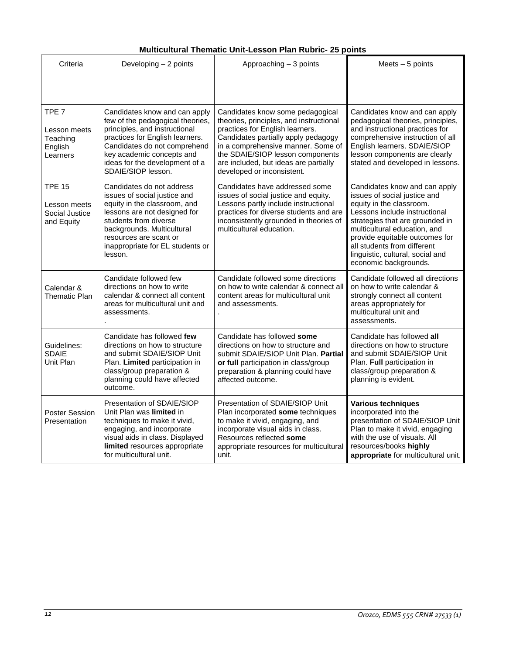# **Multicultural Thematic Unit-Lesson Plan Rubric- 25 points**

| Criteria                                                            | Developing - 2 points                                                                                                                                                                                                                                      | Approaching $-3$ points                                                                                                                                                                                                                                                                                | Meets $-5$ points                                                                                                                                                                                                                                                                                                           |
|---------------------------------------------------------------------|------------------------------------------------------------------------------------------------------------------------------------------------------------------------------------------------------------------------------------------------------------|--------------------------------------------------------------------------------------------------------------------------------------------------------------------------------------------------------------------------------------------------------------------------------------------------------|-----------------------------------------------------------------------------------------------------------------------------------------------------------------------------------------------------------------------------------------------------------------------------------------------------------------------------|
|                                                                     |                                                                                                                                                                                                                                                            |                                                                                                                                                                                                                                                                                                        |                                                                                                                                                                                                                                                                                                                             |
| TPE <sub>7</sub><br>Lesson meets<br>Teaching<br>English<br>Learners | Candidates know and can apply<br>few of the pedagogical theories,<br>principles, and instructional<br>practices for English learners.<br>Candidates do not comprehend<br>key academic concepts and<br>ideas for the development of a<br>SDAIE/SIOP lesson. | Candidates know some pedagogical<br>theories, principles, and instructional<br>practices for English learners.<br>Candidates partially apply pedagogy<br>in a comprehensive manner. Some of<br>the SDAIE/SIOP lesson components<br>are included, but ideas are partially<br>developed or inconsistent. | Candidates know and can apply<br>pedagogical theories, principles,<br>and instructional practices for<br>comprehensive instruction of all<br>English learners. SDAIE/SIOP<br>lesson components are clearly<br>stated and developed in lessons.                                                                              |
| <b>TPE 15</b><br>Lesson meets<br>Social Justice<br>and Equity       | Candidates do not address<br>issues of social justice and<br>equity in the classroom, and<br>lessons are not designed for<br>students from diverse<br>backgrounds. Multicultural<br>resources are scant or<br>inappropriate for EL students or<br>lesson.  | Candidates have addressed some<br>issues of social justice and equity.<br>Lessons partly include instructional<br>practices for diverse students and are<br>inconsistently grounded in theories of<br>multicultural education.                                                                         | Candidates know and can apply<br>issues of social justice and<br>equity in the classroom.<br>Lessons include instructional<br>strategies that are grounded in<br>multicultural education, and<br>provide equitable outcomes for<br>all students from different<br>linguistic, cultural, social and<br>economic backgrounds. |
| Calendar &<br><b>Thematic Plan</b>                                  | Candidate followed few<br>directions on how to write<br>calendar & connect all content<br>areas for multicultural unit and<br>assessments.                                                                                                                 | Candidate followed some directions<br>on how to write calendar & connect all<br>content areas for multicultural unit<br>and assessments.                                                                                                                                                               | Candidate followed all directions<br>on how to write calendar &<br>strongly connect all content<br>areas appropriately for<br>multicultural unit and<br>assessments.                                                                                                                                                        |
| Guidelines:<br><b>SDAIE</b><br>Unit Plan                            | Candidate has followed few<br>directions on how to structure<br>and submit SDAIE/SIOP Unit<br>Plan. Limited participation in<br>class/group preparation &<br>planning could have affected<br>outcome.                                                      | Candidate has followed some<br>directions on how to structure and<br>submit SDAIE/SIOP Unit Plan. Partial<br>or full participation in class/group<br>preparation & planning could have<br>affected outcome.                                                                                            | Candidate has followed all<br>directions on how to structure<br>and submit SDAIE/SIOP Unit<br>Plan. Full participation in<br>class/group preparation &<br>planning is evident.                                                                                                                                              |
| <b>Poster Session</b><br>Presentation                               | Presentation of SDAIE/SIOP<br>Unit Plan was limited in<br>techniques to make it vivid,<br>engaging, and incorporate<br>visual aids in class. Displayed<br>limited resources appropriate<br>for multicultural unit.                                         | Presentation of SDAIE/SIOP Unit<br>Plan incorporated some techniques<br>to make it vivid, engaging, and<br>incorporate visual aids in class.<br>Resources reflected some<br>appropriate resources for multicultural<br>unit.                                                                           | <b>Various techniques</b><br>incorporated into the<br>presentation of SDAIE/SIOP Unit<br>Plan to make it vivid, engaging<br>with the use of visuals. All<br>resources/books highly<br>appropriate for multicultural unit.                                                                                                   |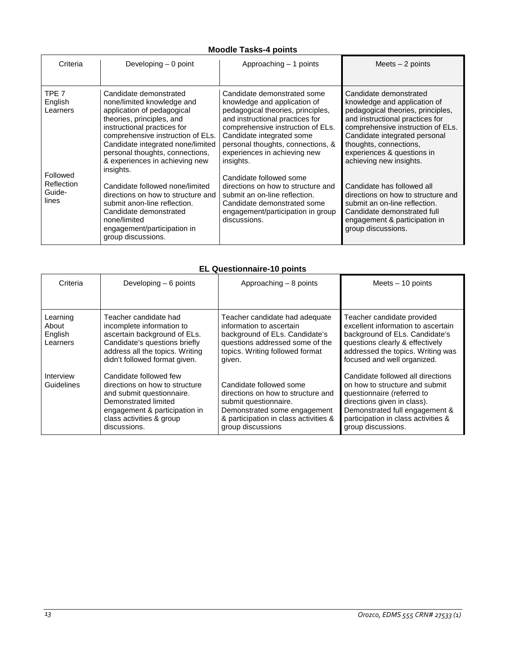# **Moodle Tasks-4 points**

| Criteria                                         | Developing $-0$ point                                                                                                                                                                                                                                                                                      | Approaching – 1 points                                                                                                                                                                                                                                                                  | Meets $-2$ points                                                                                                                                                                                                                                                                       |
|--------------------------------------------------|------------------------------------------------------------------------------------------------------------------------------------------------------------------------------------------------------------------------------------------------------------------------------------------------------------|-----------------------------------------------------------------------------------------------------------------------------------------------------------------------------------------------------------------------------------------------------------------------------------------|-----------------------------------------------------------------------------------------------------------------------------------------------------------------------------------------------------------------------------------------------------------------------------------------|
| TPE <sub>7</sub><br>English<br>Learners          | Candidate demonstrated<br>none/limited knowledge and<br>application of pedagogical<br>theories, principles, and<br>instructional practices for<br>comprehensive instruction of ELs.<br>Candidate integrated none/limited<br>personal thoughts, connections,<br>& experiences in achieving new<br>insights. | Candidate demonstrated some<br>knowledge and application of<br>pedagogical theories, principles,<br>and instructional practices for<br>comprehensive instruction of ELs.<br>Candidate integrated some<br>personal thoughts, connections, &<br>experiences in achieving new<br>insights. | Candidate demonstrated<br>knowledge and application of<br>pedagogical theories, principles,<br>and instructional practices for<br>comprehensive instruction of ELs.<br>Candidate integrated personal<br>thoughts, connections,<br>experiences & questions in<br>achieving new insights. |
| Followed<br><b>Reflection</b><br>Guide-<br>lines | Candidate followed none/limited<br>directions on how to structure and<br>submit anon-line reflection.<br>Candidate demonstrated<br>none/limited<br>engagement/participation in<br>group discussions.                                                                                                       | Candidate followed some<br>directions on how to structure and<br>submit an on-line reflection.<br>Candidate demonstrated some<br>engagement/participation in group<br>discussions.                                                                                                      | Candidate has followed all<br>directions on how to structure and<br>submit an on-line reflection.<br>Candidate demonstrated full<br>engagement & participation in<br>group discussions.                                                                                                 |

# **EL Questionnaire-10 points**

| Criteria                                 | Developing $-6$ points                                                                                                                                                                     | Approaching - 8 points                                                                                                                                                               | Meets $-10$ points                                                                                                                                                                                                              |
|------------------------------------------|--------------------------------------------------------------------------------------------------------------------------------------------------------------------------------------------|--------------------------------------------------------------------------------------------------------------------------------------------------------------------------------------|---------------------------------------------------------------------------------------------------------------------------------------------------------------------------------------------------------------------------------|
| Learning<br>About<br>English<br>Learners | Teacher candidate had<br>incomplete information to<br>ascertain background of ELs.<br>Candidate's questions briefly<br>address all the topics. Writing<br>didn't followed format given.    | Teacher candidate had adequate<br>information to ascertain<br>background of ELs. Candidate's<br>questions addressed some of the<br>topics. Writing followed format<br>given.         | Teacher candidate provided<br>excellent information to ascertain<br>background of ELs. Candidate's<br>questions clearly & effectively<br>addressed the topics. Writing was<br>focused and well organized.                       |
| Interview<br>Guidelines                  | Candidate followed few<br>directions on how to structure<br>and submit questionnaire.<br>Demonstrated limited<br>engagement & participation in<br>class activities & group<br>discussions. | Candidate followed some<br>directions on how to structure and<br>submit questionnaire.<br>Demonstrated some engagement<br>& participation in class activities &<br>group discussions | Candidate followed all directions<br>on how to structure and submit<br>questionnaire (referred to<br>directions given in class).<br>Demonstrated full engagement &<br>participation in class activities &<br>group discussions. |

j.